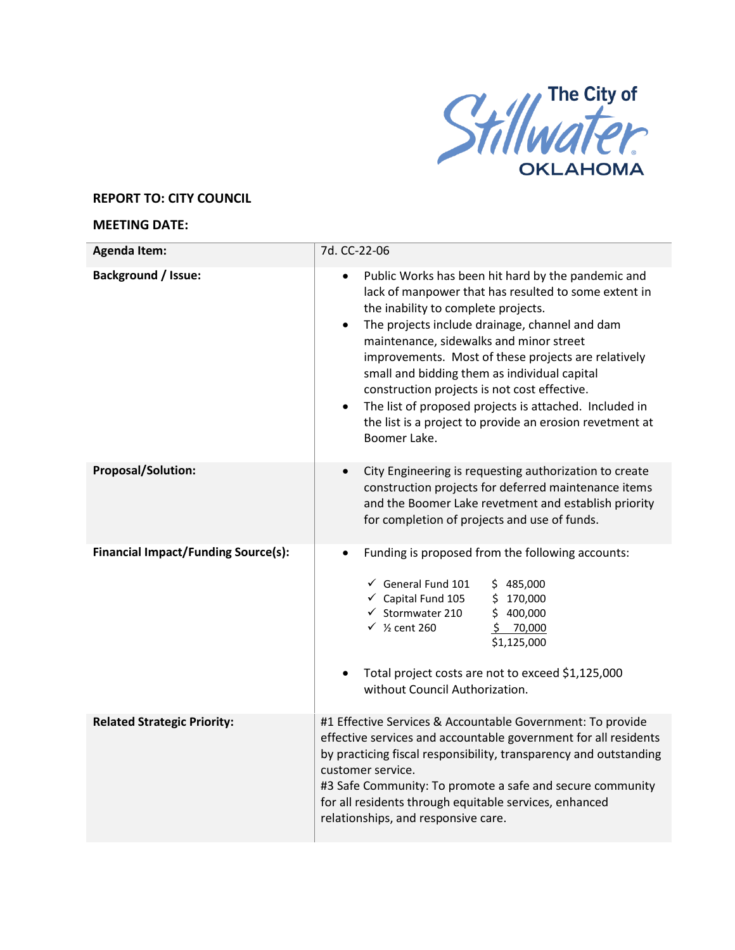

## **REPORT TO: CITY COUNCIL**

## **MEETING DATE:**

| <b>Agenda Item:</b>                        | 7d. CC-22-06                                                                                                                                                                                                                                                                                                                                                                                                                                                                                                                                                                       |
|--------------------------------------------|------------------------------------------------------------------------------------------------------------------------------------------------------------------------------------------------------------------------------------------------------------------------------------------------------------------------------------------------------------------------------------------------------------------------------------------------------------------------------------------------------------------------------------------------------------------------------------|
| <b>Background / Issue:</b>                 | Public Works has been hit hard by the pandemic and<br>$\bullet$<br>lack of manpower that has resulted to some extent in<br>the inability to complete projects.<br>The projects include drainage, channel and dam<br>$\bullet$<br>maintenance, sidewalks and minor street<br>improvements. Most of these projects are relatively<br>small and bidding them as individual capital<br>construction projects is not cost effective.<br>The list of proposed projects is attached. Included in<br>$\bullet$<br>the list is a project to provide an erosion revetment at<br>Boomer Lake. |
| <b>Proposal/Solution:</b>                  | City Engineering is requesting authorization to create<br>$\bullet$<br>construction projects for deferred maintenance items<br>and the Boomer Lake revetment and establish priority<br>for completion of projects and use of funds.                                                                                                                                                                                                                                                                                                                                                |
| <b>Financial Impact/Funding Source(s):</b> | Funding is proposed from the following accounts:<br>$\checkmark$ General Fund 101<br>\$485,000<br>\$170,000<br>$\checkmark$ Capital Fund 105<br>$\checkmark$ Stormwater 210<br>\$400,000<br>$\checkmark$ % cent 260<br>\$70,000<br>\$1,125,000<br>Total project costs are not to exceed \$1,125,000<br>without Council Authorization.                                                                                                                                                                                                                                              |
| <b>Related Strategic Priority:</b>         | #1 Effective Services & Accountable Government: To provide<br>effective services and accountable government for all residents<br>by practicing fiscal responsibility, transparency and outstanding<br>customer service.<br>#3 Safe Community: To promote a safe and secure community<br>for all residents through equitable services, enhanced<br>relationships, and responsive care.                                                                                                                                                                                              |